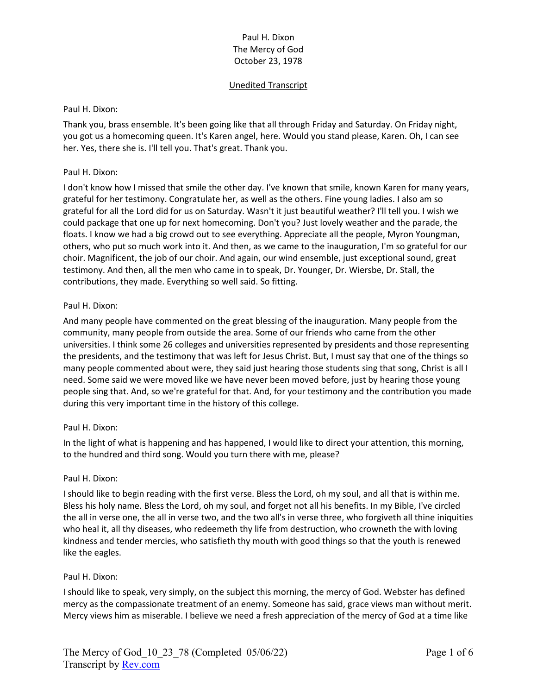## Unedited Transcript

#### Paul H. Dixon:

Thank you, brass ensemble. It's been going like that all through Friday and Saturday. On Friday night, you got us a homecoming queen. It's Karen angel, here. Would you stand please, Karen. Oh, I can see her. Yes, there she is. I'll tell you. That's great. Thank you.

#### Paul H. Dixon:

I don't know how I missed that smile the other day. I've known that smile, known Karen for many years, grateful for her testimony. Congratulate her, as well as the others. Fine young ladies. I also am so grateful for all the Lord did for us on Saturday. Wasn't it just beautiful weather? I'll tell you. I wish we could package that one up for next homecoming. Don't you? Just lovely weather and the parade, the floats. I know we had a big crowd out to see everything. Appreciate all the people, Myron Youngman, others, who put so much work into it. And then, as we came to the inauguration, I'm so grateful for our choir. Magnificent, the job of our choir. And again, our wind ensemble, just exceptional sound, great testimony. And then, all the men who came in to speak, Dr. Younger, Dr. Wiersbe, Dr. Stall, the contributions, they made. Everything so well said. So fitting.

#### Paul H. Dixon:

And many people have commented on the great blessing of the inauguration. Many people from the community, many people from outside the area. Some of our friends who came from the other universities. I think some 26 colleges and universities represented by presidents and those representing the presidents, and the testimony that was left for Jesus Christ. But, I must say that one of the things so many people commented about were, they said just hearing those students sing that song, Christ is all I need. Some said we were moved like we have never been moved before, just by hearing those young people sing that. And, so we're grateful for that. And, for your testimony and the contribution you made during this very important time in the history of this college.

### Paul H. Dixon:

In the light of what is happening and has happened, I would like to direct your attention, this morning, to the hundred and third song. Would you turn there with me, please?

#### Paul H. Dixon:

I should like to begin reading with the first verse. Bless the Lord, oh my soul, and all that is within me. Bless his holy name. Bless the Lord, oh my soul, and forget not all his benefits. In my Bible, I've circled the all in verse one, the all in verse two, and the two all's in verse three, who forgiveth all thine iniquities who heal it, all thy diseases, who redeemeth thy life from destruction, who crowneth the with loving kindness and tender mercies, who satisfieth thy mouth with good things so that the youth is renewed like the eagles.

### Paul H. Dixon:

I should like to speak, very simply, on the subject this morning, the mercy of God. Webster has defined mercy as the compassionate treatment of an enemy. Someone has said, grace views man without merit. Mercy views him as miserable. I believe we need a fresh appreciation of the mercy of God at a time like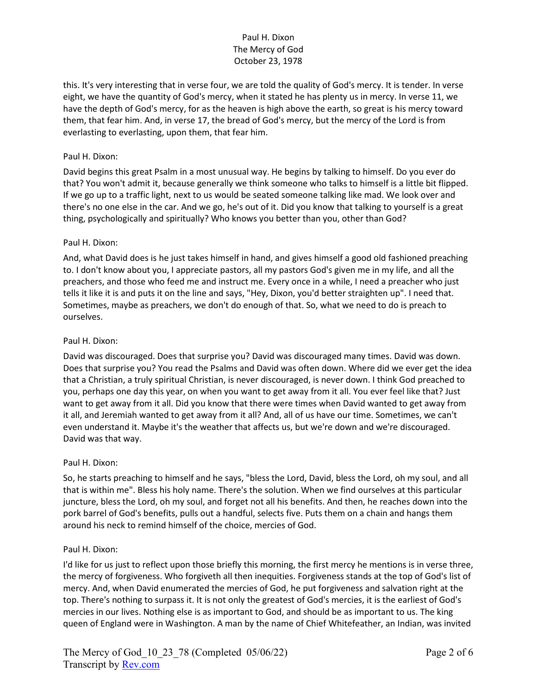this. It's very interesting that in verse four, we are told the quality of God's mercy. It is tender. In verse eight, we have the quantity of God's mercy, when it stated he has plenty us in mercy. In verse 11, we have the depth of God's mercy, for as the heaven is high above the earth, so great is his mercy toward them, that fear him. And, in verse 17, the bread of God's mercy, but the mercy of the Lord is from everlasting to everlasting, upon them, that fear him.

### Paul H. Dixon:

David begins this great Psalm in a most unusual way. He begins by talking to himself. Do you ever do that? You won't admit it, because generally we think someone who talks to himself is a little bit flipped. If we go up to a traffic light, next to us would be seated someone talking like mad. We look over and there's no one else in the car. And we go, he's out of it. Did you know that talking to yourself is a great thing, psychologically and spiritually? Who knows you better than you, other than God?

#### Paul H. Dixon:

And, what David does is he just takes himself in hand, and gives himself a good old fashioned preaching to. I don't know about you, I appreciate pastors, all my pastors God's given me in my life, and all the preachers, and those who feed me and instruct me. Every once in a while, I need a preacher who just tells it like it is and puts it on the line and says, "Hey, Dixon, you'd better straighten up". I need that. Sometimes, maybe as preachers, we don't do enough of that. So, what we need to do is preach to ourselves.

#### Paul H. Dixon:

David was discouraged. Does that surprise you? David was discouraged many times. David was down. Does that surprise you? You read the Psalms and David was often down. Where did we ever get the idea that a Christian, a truly spiritual Christian, is never discouraged, is never down. I think God preached to you, perhaps one day this year, on when you want to get away from it all. You ever feel like that? Just want to get away from it all. Did you know that there were times when David wanted to get away from it all, and Jeremiah wanted to get away from it all? And, all of us have our time. Sometimes, we can't even understand it. Maybe it's the weather that affects us, but we're down and we're discouraged. David was that way.

#### Paul H. Dixon:

So, he starts preaching to himself and he says, "bless the Lord, David, bless the Lord, oh my soul, and all that is within me". Bless his holy name. There's the solution. When we find ourselves at this particular juncture, bless the Lord, oh my soul, and forget not all his benefits. And then, he reaches down into the pork barrel of God's benefits, pulls out a handful, selects five. Puts them on a chain and hangs them around his neck to remind himself of the choice, mercies of God.

#### Paul H. Dixon:

I'd like for us just to reflect upon those briefly this morning, the first mercy he mentions is in verse three, the mercy of forgiveness. Who forgiveth all then inequities. Forgiveness stands at the top of God's list of mercy. And, when David enumerated the mercies of God, he put forgiveness and salvation right at the top. There's nothing to surpass it. It is not only the greatest of God's mercies, it is the earliest of God's mercies in our lives. Nothing else is as important to God, and should be as important to us. The king queen of England were in Washington. A man by the name of Chief Whitefeather, an Indian, was invited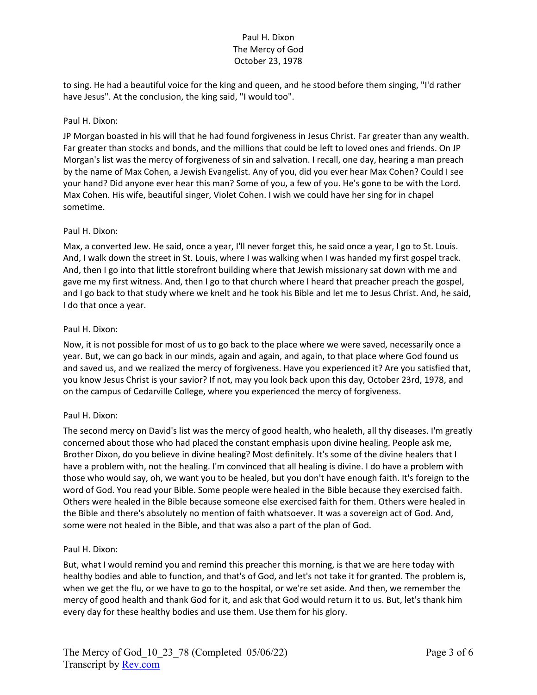to sing. He had a beautiful voice for the king and queen, and he stood before them singing, "I'd rather have Jesus". At the conclusion, the king said, "I would too".

### Paul H. Dixon:

JP Morgan boasted in his will that he had found forgiveness in Jesus Christ. Far greater than any wealth. Far greater than stocks and bonds, and the millions that could be left to loved ones and friends. On JP Morgan's list was the mercy of forgiveness of sin and salvation. I recall, one day, hearing a man preach by the name of Max Cohen, a Jewish Evangelist. Any of you, did you ever hear Max Cohen? Could I see your hand? Did anyone ever hear this man? Some of you, a few of you. He's gone to be with the Lord. Max Cohen. His wife, beautiful singer, Violet Cohen. I wish we could have her sing for in chapel sometime.

#### Paul H. Dixon:

Max, a converted Jew. He said, once a year, I'll never forget this, he said once a year, I go to St. Louis. And, I walk down the street in St. Louis, where I was walking when I was handed my first gospel track. And, then I go into that little storefront building where that Jewish missionary sat down with me and gave me my first witness. And, then I go to that church where I heard that preacher preach the gospel, and I go back to that study where we knelt and he took his Bible and let me to Jesus Christ. And, he said, I do that once a year.

#### Paul H. Dixon:

Now, it is not possible for most of us to go back to the place where we were saved, necessarily once a year. But, we can go back in our minds, again and again, and again, to that place where God found us and saved us, and we realized the mercy of forgiveness. Have you experienced it? Are you satisfied that, you know Jesus Christ is your savior? If not, may you look back upon this day, October 23rd, 1978, and on the campus of Cedarville College, where you experienced the mercy of forgiveness.

### Paul H. Dixon:

The second mercy on David's list was the mercy of good health, who healeth, all thy diseases. I'm greatly concerned about those who had placed the constant emphasis upon divine healing. People ask me, Brother Dixon, do you believe in divine healing? Most definitely. It's some of the divine healers that I have a problem with, not the healing. I'm convinced that all healing is divine. I do have a problem with those who would say, oh, we want you to be healed, but you don't have enough faith. It's foreign to the word of God. You read your Bible. Some people were healed in the Bible because they exercised faith. Others were healed in the Bible because someone else exercised faith for them. Others were healed in the Bible and there's absolutely no mention of faith whatsoever. It was a sovereign act of God. And, some were not healed in the Bible, and that was also a part of the plan of God.

#### Paul H. Dixon:

But, what I would remind you and remind this preacher this morning, is that we are here today with healthy bodies and able to function, and that's of God, and let's not take it for granted. The problem is, when we get the flu, or we have to go to the hospital, or we're set aside. And then, we remember the mercy of good health and thank God for it, and ask that God would return it to us. But, let's thank him every day for these healthy bodies and use them. Use them for his glory.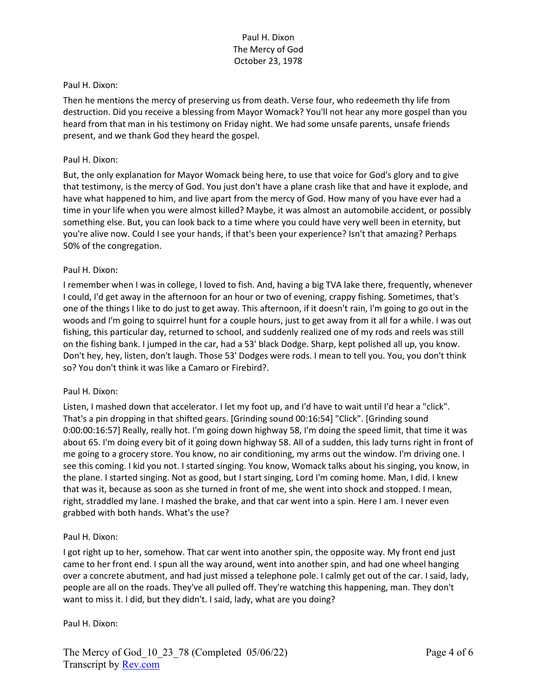#### Paul H. Dixon:

Then he mentions the mercy of preserving us from death. Verse four, who redeemeth thy life from destruction. Did you receive a blessing from Mayor Womack? You'll not hear any more gospel than you heard from that man in his testimony on Friday night. We had some unsafe parents, unsafe friends present, and we thank God they heard the gospel.

#### Paul H. Dixon:

But, the only explanation for Mayor Womack being here, to use that voice for God's glory and to give that testimony, is the mercy of God. You just don't have a plane crash like that and have it explode, and have what happened to him, and live apart from the mercy of God. How many of you have ever had a time in your life when you were almost killed? Maybe, it was almost an automobile accident, or possibly something else. But, you can look back to a time where you could have very well been in eternity, but you're alive now. Could I see your hands, if that's been your experience? Isn't that amazing? Perhaps 50% of the congregation.

### Paul H. Dixon:

I remember when I was in college, I loved to fish. And, having a big TVA lake there, frequently, whenever I could, I'd get away in the afternoon for an hour or two of evening, crappy fishing. Sometimes, that's one of the things I like to do just to get away. This afternoon, if it doesn't rain, I'm going to go out in the woods and I'm going to squirrel hunt for a couple hours, just to get away from it all for a while. I was out fishing, this particular day, returned to school, and suddenly realized one of my rods and reels was still on the fishing bank. I jumped in the car, had a 53' black Dodge. Sharp, kept polished all up, you know. Don't hey, hey, listen, don't laugh. Those 53' Dodges were rods. I mean to tell you. You, you don't think so? You don't think it was like a Camaro or Firebird?.

### Paul H. Dixon:

Listen, I mashed down that accelerator. I let my foot up, and I'd have to wait until I'd hear a "click". That's a pin dropping in that shifted gears. [Grinding sound 00:16:54] "Click". [Grinding sound 0:00:00:16:57] Really, really hot. I'm going down highway 58, I'm doing the speed limit, that time it was about 65. I'm doing every bit of it going down highway 58. All of a sudden, this lady turns right in front of me going to a grocery store. You know, no air conditioning, my arms out the window. I'm driving one. I see this coming. I kid you not. I started singing. You know, Womack talks about his singing, you know, in the plane. I started singing. Not as good, but I start singing, Lord I'm coming home. Man, I did. I knew that was it, because as soon as she turned in front of me, she went into shock and stopped. I mean, right, straddled my lane. I mashed the brake, and that car went into a spin. Here I am. I never even grabbed with both hands. What's the use?

### Paul H. Dixon:

I got right up to her, somehow. That car went into another spin, the opposite way. My front end just came to her front end. I spun all the way around, went into another spin, and had one wheel hanging over a concrete abutment, and had just missed a telephone pole. I calmly get out of the car. I said, lady, people are all on the roads. They've all pulled off. They're watching this happening, man. They don't want to miss it. I did, but they didn't. I said, lady, what are you doing?

#### Paul H. Dixon: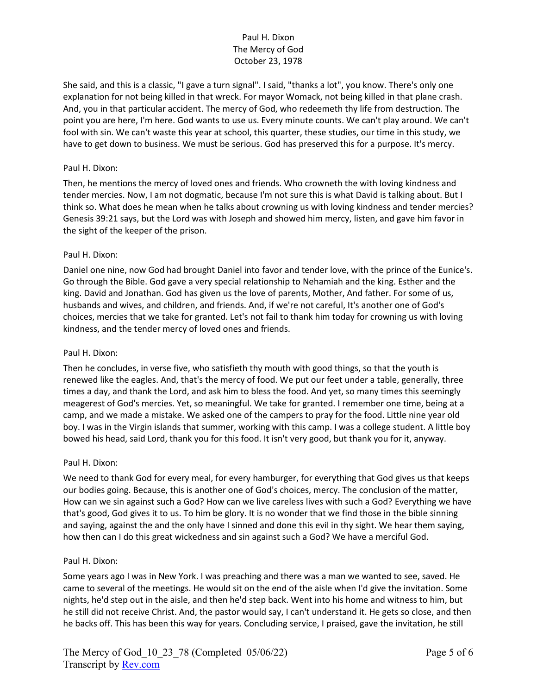She said, and this is a classic, "I gave a turn signal". I said, "thanks a lot", you know. There's only one explanation for not being killed in that wreck. For mayor Womack, not being killed in that plane crash. And, you in that particular accident. The mercy of God, who redeemeth thy life from destruction. The point you are here, I'm here. God wants to use us. Every minute counts. We can't play around. We can't fool with sin. We can't waste this year at school, this quarter, these studies, our time in this study, we have to get down to business. We must be serious. God has preserved this for a purpose. It's mercy.

### Paul H. Dixon:

Then, he mentions the mercy of loved ones and friends. Who crowneth the with loving kindness and tender mercies. Now, I am not dogmatic, because I'm not sure this is what David is talking about. But I think so. What does he mean when he talks about crowning us with loving kindness and tender mercies? Genesis 39:21 says, but the Lord was with Joseph and showed him mercy, listen, and gave him favor in the sight of the keeper of the prison.

#### Paul H. Dixon:

Daniel one nine, now God had brought Daniel into favor and tender love, with the prince of the Eunice's. Go through the Bible. God gave a very special relationship to Nehamiah and the king. Esther and the king. David and Jonathan. God has given us the love of parents, Mother, And father. For some of us, husbands and wives, and children, and friends. And, if we're not careful, It's another one of God's choices, mercies that we take for granted. Let's not fail to thank him today for crowning us with loving kindness, and the tender mercy of loved ones and friends.

### Paul H. Dixon:

Then he concludes, in verse five, who satisfieth thy mouth with good things, so that the youth is renewed like the eagles. And, that's the mercy of food. We put our feet under a table, generally, three times a day, and thank the Lord, and ask him to bless the food. And yet, so many times this seemingly meagerest of God's mercies. Yet, so meaningful. We take for granted. I remember one time, being at a camp, and we made a mistake. We asked one of the campers to pray for the food. Little nine year old boy. I was in the Virgin islands that summer, working with this camp. I was a college student. A little boy bowed his head, said Lord, thank you for this food. It isn't very good, but thank you for it, anyway.

#### Paul H. Dixon:

We need to thank God for every meal, for every hamburger, for everything that God gives us that keeps our bodies going. Because, this is another one of God's choices, mercy. The conclusion of the matter, How can we sin against such a God? How can we live careless lives with such a God? Everything we have that's good, God gives it to us. To him be glory. It is no wonder that we find those in the bible sinning and saying, against the and the only have I sinned and done this evil in thy sight. We hear them saying, how then can I do this great wickedness and sin against such a God? We have a merciful God.

#### Paul H. Dixon:

Some years ago I was in New York. I was preaching and there was a man we wanted to see, saved. He came to several of the meetings. He would sit on the end of the aisle when I'd give the invitation. Some nights, he'd step out in the aisle, and then he'd step back. Went into his home and witness to him, but he still did not receive Christ. And, the pastor would say, I can't understand it. He gets so close, and then he backs off. This has been this way for years. Concluding service, I praised, gave the invitation, he still